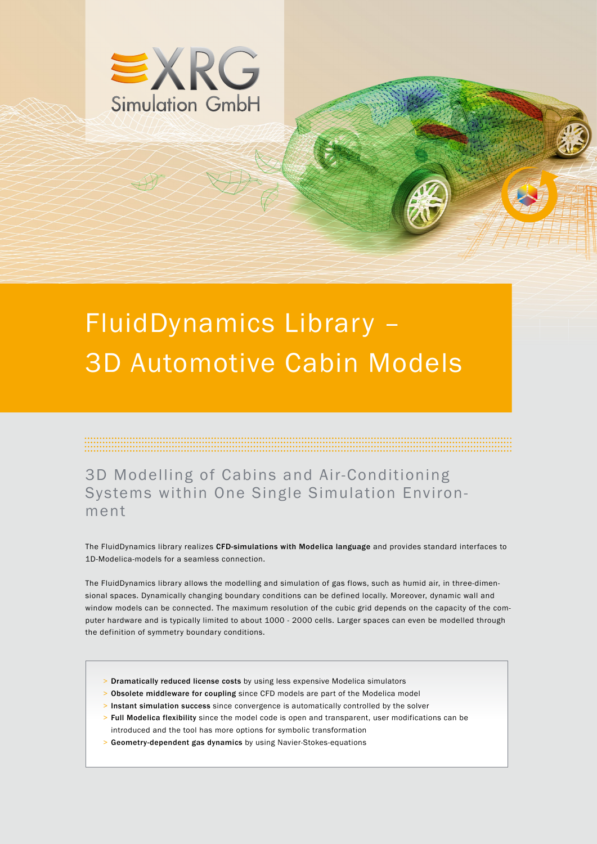

# FluidDynamics Library – 3D Automotive Cabin Models

3D Modelling of Cabins and Air-Conditioning Systems within One Single Simulation Environment

The FluidDynamics library realizes CFD-simulations with Modelica language and provides standard interfaces to 1D-Modelica-models for a seamless connection.

The FluidDynamics library allows the modelling and simulation of gas flows, such as humid air, in three-dimensional spaces. Dynamically changing boundary conditions can be defined locally. Moreover, dynamic wall and window models can be connected. The maximum resolution of the cubic grid depends on the capacity of the computer hardware and is typically limited to about 1000 - 2000 cells. Larger spaces can even be modelled through the definition of symmetry boundary conditions.

- > Dramatically reduced license costs by using less expensive Modelica simulators
- > Obsolete middleware for coupling since CFD models are part of the Modelica model
- > Instant simulation success since convergence is automatically controlled by the solver
- > Full Modelica flexibility since the model code is open and transparent, user modifications can be introduced and the tool has more options for symbolic transformation
- > Geometry-dependent gas dynamics by using Navier-Stokes-equations